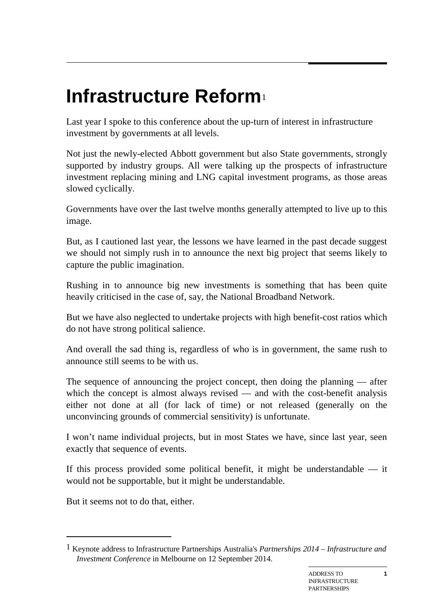## **Infrastructure Reform**[1](#page-0-0)

Last year I spoke to this conference about the up-turn of interest in infrastructure investment by governments at all levels.

Not just the newly-elected Abbott government but also State governments, strongly supported by industry groups. All were talking up the prospects of infrastructure investment replacing mining and LNG capital investment programs, as those areas slowed cyclically.

Governments have over the last twelve months generally attempted to live up to this image.

But, as I cautioned last year, the lessons we have learned in the past decade suggest we should not simply rush in to announce the next big project that seems likely to capture the public imagination.

Rushing in to announce big new investments is something that has been quite heavily criticised in the case of, say, the National Broadband Network.

But we have also neglected to undertake projects with high benefit-cost ratios which do not have strong political salience.

And overall the sad thing is, regardless of who is in government, the same rush to announce still seems to be with us.

The sequence of announcing the project concept, then doing the planning — after which the concept is almost always revised — and with the cost-benefit analysis either not done at all (for lack of time) or not released (generally on the unconvincing grounds of commercial sensitivity) is unfortunate.

I won't name individual projects, but in most States we have, since last year, seen exactly that sequence of events.

If this process provided some political benefit, it might be understandable — it would not be supportable, but it might be understandable.

But it seems not to do that, either.

-

<span id="page-0-0"></span><sup>1</sup> Keynote address to Infrastructure Partnerships Australia's *Partnerships 2014 – Infrastructure and Investment Conference* in Melbourne on 12 September 2014.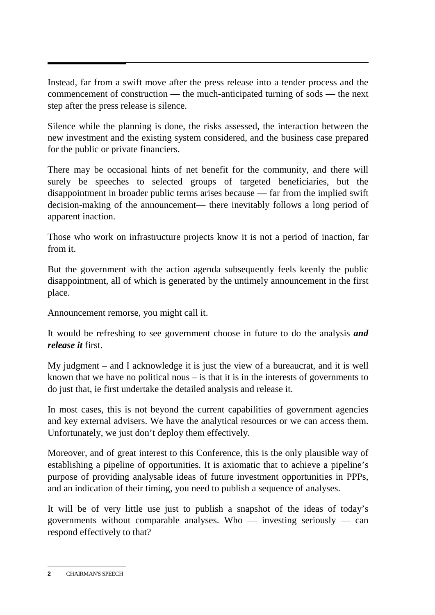Instead, far from a swift move after the press release into a tender process and the commencement of construction — the much-anticipated turning of sods — the next step after the press release is silence.

Silence while the planning is done, the risks assessed, the interaction between the new investment and the existing system considered, and the business case prepared for the public or private financiers.

There may be occasional hints of net benefit for the community, and there will surely be speeches to selected groups of targeted beneficiaries, but the disappointment in broader public terms arises because — far from the implied swift decision-making of the announcement— there inevitably follows a long period of apparent inaction.

Those who work on infrastructure projects know it is not a period of inaction, far from it.

But the government with the action agenda subsequently feels keenly the public disappointment, all of which is generated by the untimely announcement in the first place.

Announcement remorse, you might call it.

It would be refreshing to see government choose in future to do the analysis *and release it* first.

My judgment – and I acknowledge it is just the view of a bureaucrat, and it is well known that we have no political nous  $-$  is that it is in the interests of governments to do just that, ie first undertake the detailed analysis and release it.

In most cases, this is not beyond the current capabilities of government agencies and key external advisers. We have the analytical resources or we can access them. Unfortunately, we just don't deploy them effectively.

Moreover, and of great interest to this Conference, this is the only plausible way of establishing a pipeline of opportunities. It is axiomatic that to achieve a pipeline's purpose of providing analysable ideas of future investment opportunities in PPPs, and an indication of their timing, you need to publish a sequence of analyses.

It will be of very little use just to publish a snapshot of the ideas of today's governments without comparable analyses. Who  $-$  investing seriously  $-$  can respond effectively to that?

**<sup>2</sup>** CHAIRMAN'S SPEECH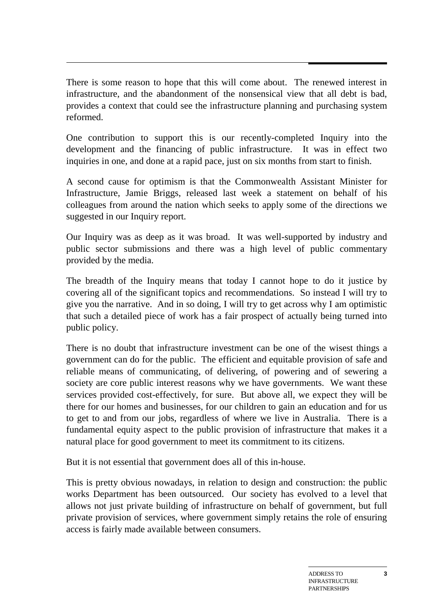There is some reason to hope that this will come about. The renewed interest in infrastructure, and the abandonment of the nonsensical view that all debt is bad, provides a context that could see the infrastructure planning and purchasing system reformed.

One contribution to support this is our recently-completed Inquiry into the development and the financing of public infrastructure. It was in effect two inquiries in one, and done at a rapid pace, just on six months from start to finish.

A second cause for optimism is that the Commonwealth Assistant Minister for Infrastructure, Jamie Briggs, released last week a statement on behalf of his colleagues from around the nation which seeks to apply some of the directions we suggested in our Inquiry report.

Our Inquiry was as deep as it was broad. It was well-supported by industry and public sector submissions and there was a high level of public commentary provided by the media.

The breadth of the Inquiry means that today I cannot hope to do it justice by covering all of the significant topics and recommendations. So instead I will try to give you the narrative. And in so doing, I will try to get across why I am optimistic that such a detailed piece of work has a fair prospect of actually being turned into public policy.

There is no doubt that infrastructure investment can be one of the wisest things a government can do for the public. The efficient and equitable provision of safe and reliable means of communicating, of delivering, of powering and of sewering a society are core public interest reasons why we have governments. We want these services provided cost-effectively, for sure. But above all, we expect they will be there for our homes and businesses, for our children to gain an education and for us to get to and from our jobs, regardless of where we live in Australia. There is a fundamental equity aspect to the public provision of infrastructure that makes it a natural place for good government to meet its commitment to its citizens.

But it is not essential that government does all of this in-house.

This is pretty obvious nowadays, in relation to design and construction: the public works Department has been outsourced. Our society has evolved to a level that allows not just private building of infrastructure on behalf of government, but full private provision of services, where government simply retains the role of ensuring access is fairly made available between consumers.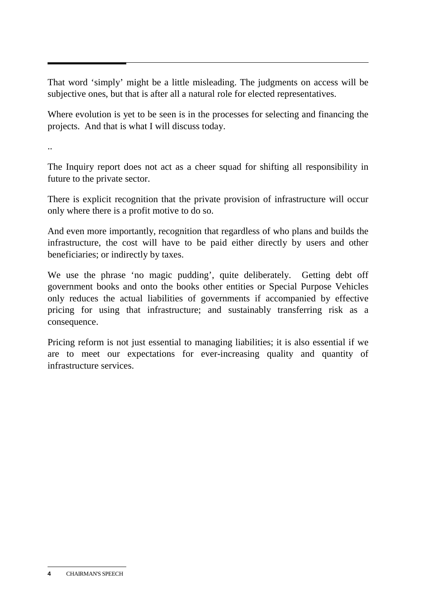That word 'simply' might be a little misleading. The judgments on access will be subjective ones, but that is after all a natural role for elected representatives.

Where evolution is yet to be seen is in the processes for selecting and financing the projects. And that is what I will discuss today.

..

The Inquiry report does not act as a cheer squad for shifting all responsibility in future to the private sector.

There is explicit recognition that the private provision of infrastructure will occur only where there is a profit motive to do so.

And even more importantly, recognition that regardless of who plans and builds the infrastructure, the cost will have to be paid either directly by users and other beneficiaries; or indirectly by taxes.

We use the phrase 'no magic pudding', quite deliberately. Getting debt off government books and onto the books other entities or Special Purpose Vehicles only reduces the actual liabilities of governments if accompanied by effective pricing for using that infrastructure; and sustainably transferring risk as a consequence.

Pricing reform is not just essential to managing liabilities; it is also essential if we are to meet our expectations for ever-increasing quality and quantity of infrastructure services.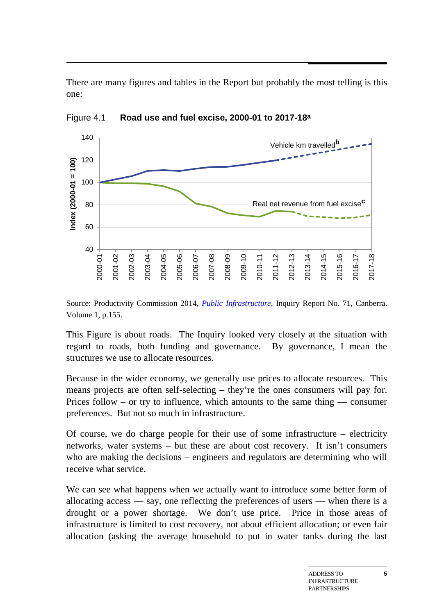There are many figures and tables in the Report but probably the most telling is this one:



Figure 4.1 **Road use and fuel excise, 2000-01 to 2017-18a**

Source: Productivity Commission 2014, *[Public Infrastructure,](http://www.pc.gov.au/projects/inquiry/infrastructure/report)* Inquiry Report No. 71, Canberra. Volume 1, p.155.

This Figure is about roads. The Inquiry looked very closely at the situation with regard to roads, both funding and governance. By governance, I mean the structures we use to allocate resources.

Because in the wider economy, we generally use prices to allocate resources. This means projects are often self-selecting – they're the ones consumers will pay for. Prices follow – or try to influence, which amounts to the same thing — consumer preferences. But not so much in infrastructure.

Of course, we do charge people for their use of some infrastructure – electricity networks, water systems – but these are about cost recovery. It isn't consumers who are making the decisions – engineers and regulators are determining who will receive what service.

We can see what happens when we actually want to introduce some better form of allocating access — say, one reflecting the preferences of users — when there is a drought or a power shortage. We don't use price. Price in those areas of infrastructure is limited to cost recovery, not about efficient allocation; or even fair allocation (asking the average household to put in water tanks during the last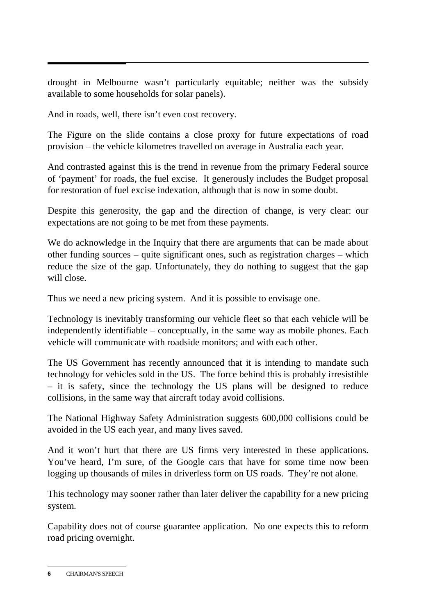drought in Melbourne wasn't particularly equitable; neither was the subsidy available to some households for solar panels).

And in roads, well, there isn't even cost recovery.

The Figure on the slide contains a close proxy for future expectations of road provision – the vehicle kilometres travelled on average in Australia each year.

And contrasted against this is the trend in revenue from the primary Federal source of 'payment' for roads, the fuel excise. It generously includes the Budget proposal for restoration of fuel excise indexation, although that is now in some doubt.

Despite this generosity, the gap and the direction of change, is very clear: our expectations are not going to be met from these payments.

We do acknowledge in the Inquiry that there are arguments that can be made about other funding sources – quite significant ones, such as registration charges – which reduce the size of the gap. Unfortunately, they do nothing to suggest that the gap will close.

Thus we need a new pricing system. And it is possible to envisage one.

Technology is inevitably transforming our vehicle fleet so that each vehicle will be independently identifiable – conceptually, in the same way as mobile phones. Each vehicle will communicate with roadside monitors; and with each other.

The US Government has recently announced that it is intending to mandate such technology for vehicles sold in the US. The force behind this is probably irresistible – it is safety, since the technology the US plans will be designed to reduce collisions, in the same way that aircraft today avoid collisions.

The National Highway Safety Administration suggests 600,000 collisions could be avoided in the US each year, and many lives saved.

And it won't hurt that there are US firms very interested in these applications. You've heard, I'm sure, of the Google cars that have for some time now been logging up thousands of miles in driverless form on US roads. They're not alone.

This technology may sooner rather than later deliver the capability for a new pricing system.

Capability does not of course guarantee application. No one expects this to reform road pricing overnight.

**<sup>6</sup>** CHAIRMAN'S SPEECH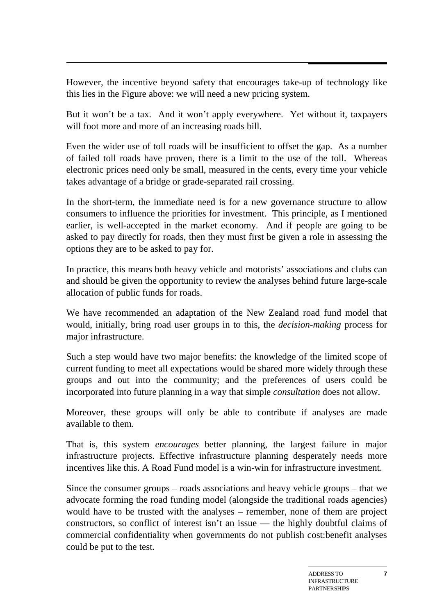However, the incentive beyond safety that encourages take-up of technology like this lies in the Figure above: we will need a new pricing system.

But it won't be a tax. And it won't apply everywhere. Yet without it, taxpayers will foot more and more of an increasing roads bill.

Even the wider use of toll roads will be insufficient to offset the gap. As a number of failed toll roads have proven, there is a limit to the use of the toll. Whereas electronic prices need only be small, measured in the cents, every time your vehicle takes advantage of a bridge or grade-separated rail crossing.

In the short-term, the immediate need is for a new governance structure to allow consumers to influence the priorities for investment. This principle, as I mentioned earlier, is well-accepted in the market economy. And if people are going to be asked to pay directly for roads, then they must first be given a role in assessing the options they are to be asked to pay for.

In practice, this means both heavy vehicle and motorists' associations and clubs can and should be given the opportunity to review the analyses behind future large-scale allocation of public funds for roads.

We have recommended an adaptation of the New Zealand road fund model that would, initially, bring road user groups in to this, the *decision-making* process for major infrastructure.

Such a step would have two major benefits: the knowledge of the limited scope of current funding to meet all expectations would be shared more widely through these groups and out into the community; and the preferences of users could be incorporated into future planning in a way that simple *consultation* does not allow.

Moreover, these groups will only be able to contribute if analyses are made available to them.

That is, this system *encourages* better planning, the largest failure in major infrastructure projects. Effective infrastructure planning desperately needs more incentives like this. A Road Fund model is a win-win for infrastructure investment.

Since the consumer groups – roads associations and heavy vehicle groups – that we advocate forming the road funding model (alongside the traditional roads agencies) would have to be trusted with the analyses – remember, none of them are project constructors, so conflict of interest isn't an issue — the highly doubtful claims of commercial confidentiality when governments do not publish cost:benefit analyses could be put to the test.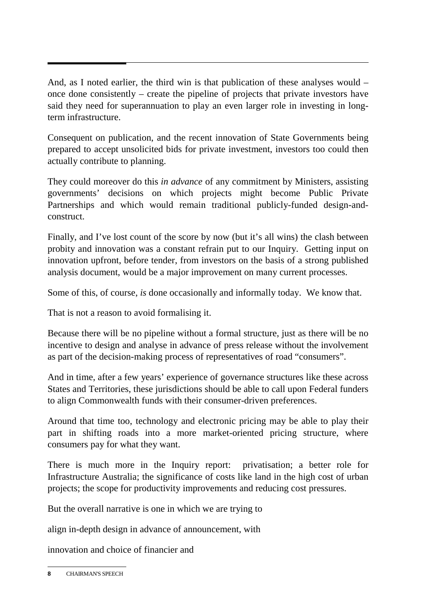And, as I noted earlier, the third win is that publication of these analyses would – once done consistently – create the pipeline of projects that private investors have said they need for superannuation to play an even larger role in investing in longterm infrastructure.

Consequent on publication, and the recent innovation of State Governments being prepared to accept unsolicited bids for private investment, investors too could then actually contribute to planning.

They could moreover do this *in advance* of any commitment by Ministers, assisting governments' decisions on which projects might become Public Private Partnerships and which would remain traditional publicly-funded design-andconstruct.

Finally, and I've lost count of the score by now (but it's all wins) the clash between probity and innovation was a constant refrain put to our Inquiry. Getting input on innovation upfront, before tender, from investors on the basis of a strong published analysis document, would be a major improvement on many current processes.

Some of this, of course, *is* done occasionally and informally today. We know that.

That is not a reason to avoid formalising it.

Because there will be no pipeline without a formal structure, just as there will be no incentive to design and analyse in advance of press release without the involvement as part of the decision-making process of representatives of road "consumers".

And in time, after a few years' experience of governance structures like these across States and Territories, these jurisdictions should be able to call upon Federal funders to align Commonwealth funds with their consumer-driven preferences.

Around that time too, technology and electronic pricing may be able to play their part in shifting roads into a more market-oriented pricing structure, where consumers pay for what they want.

There is much more in the Inquiry report: privatisation; a better role for Infrastructure Australia; the significance of costs like land in the high cost of urban projects; the scope for productivity improvements and reducing cost pressures.

But the overall narrative is one in which we are trying to

align in-depth design in advance of announcement, with

innovation and choice of financier and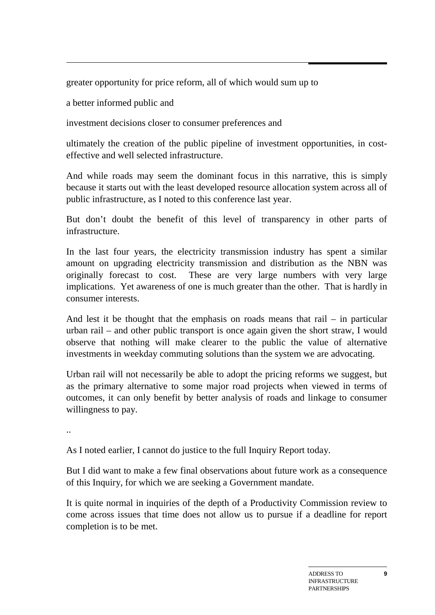greater opportunity for price reform, all of which would sum up to

a better informed public and

investment decisions closer to consumer preferences and

ultimately the creation of the public pipeline of investment opportunities, in costeffective and well selected infrastructure.

And while roads may seem the dominant focus in this narrative, this is simply because it starts out with the least developed resource allocation system across all of public infrastructure, as I noted to this conference last year.

But don't doubt the benefit of this level of transparency in other parts of infrastructure.

In the last four years, the electricity transmission industry has spent a similar amount on upgrading electricity transmission and distribution as the NBN was originally forecast to cost. These are very large numbers with very large implications. Yet awareness of one is much greater than the other. That is hardly in consumer interests.

And lest it be thought that the emphasis on roads means that rail – in particular urban rail – and other public transport is once again given the short straw, I would observe that nothing will make clearer to the public the value of alternative investments in weekday commuting solutions than the system we are advocating.

Urban rail will not necessarily be able to adopt the pricing reforms we suggest, but as the primary alternative to some major road projects when viewed in terms of outcomes, it can only benefit by better analysis of roads and linkage to consumer willingness to pay.

..

As I noted earlier, I cannot do justice to the full Inquiry Report today.

But I did want to make a few final observations about future work as a consequence of this Inquiry, for which we are seeking a Government mandate.

It is quite normal in inquiries of the depth of a Productivity Commission review to come across issues that time does not allow us to pursue if a deadline for report completion is to be met.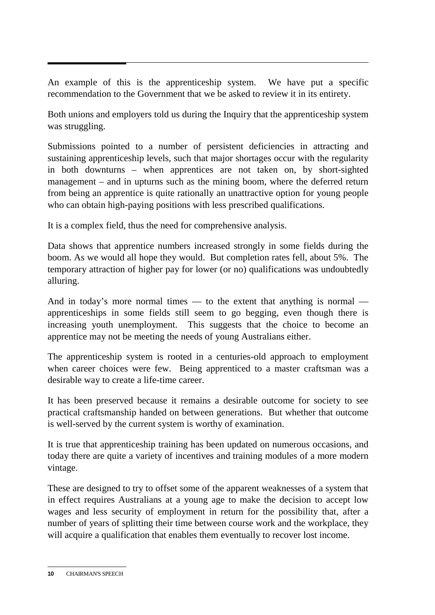An example of this is the apprenticeship system. We have put a specific recommendation to the Government that we be asked to review it in its entirety.

Both unions and employers told us during the Inquiry that the apprenticeship system was struggling.

Submissions pointed to a number of persistent deficiencies in attracting and sustaining apprenticeship levels, such that major shortages occur with the regularity in both downturns – when apprentices are not taken on, by short-sighted management – and in upturns such as the mining boom, where the deferred return from being an apprentice is quite rationally an unattractive option for young people who can obtain high-paying positions with less prescribed qualifications.

It is a complex field, thus the need for comprehensive analysis.

Data shows that apprentice numbers increased strongly in some fields during the boom. As we would all hope they would. But completion rates fell, about 5%. The temporary attraction of higher pay for lower (or no) qualifications was undoubtedly alluring.

And in today's more normal times — to the extent that anything is normal apprenticeships in some fields still seem to go begging, even though there is increasing youth unemployment. This suggests that the choice to become an apprentice may not be meeting the needs of young Australians either.

The apprenticeship system is rooted in a centuries-old approach to employment when career choices were few. Being apprenticed to a master craftsman was a desirable way to create a life-time career.

It has been preserved because it remains a desirable outcome for society to see practical craftsmanship handed on between generations. But whether that outcome is well-served by the current system is worthy of examination.

It is true that apprenticeship training has been updated on numerous occasions, and today there are quite a variety of incentives and training modules of a more modern vintage.

These are designed to try to offset some of the apparent weaknesses of a system that in effect requires Australians at a young age to make the decision to accept low wages and less security of employment in return for the possibility that, after a number of years of splitting their time between course work and the workplace, they will acquire a qualification that enables them eventually to recover lost income.